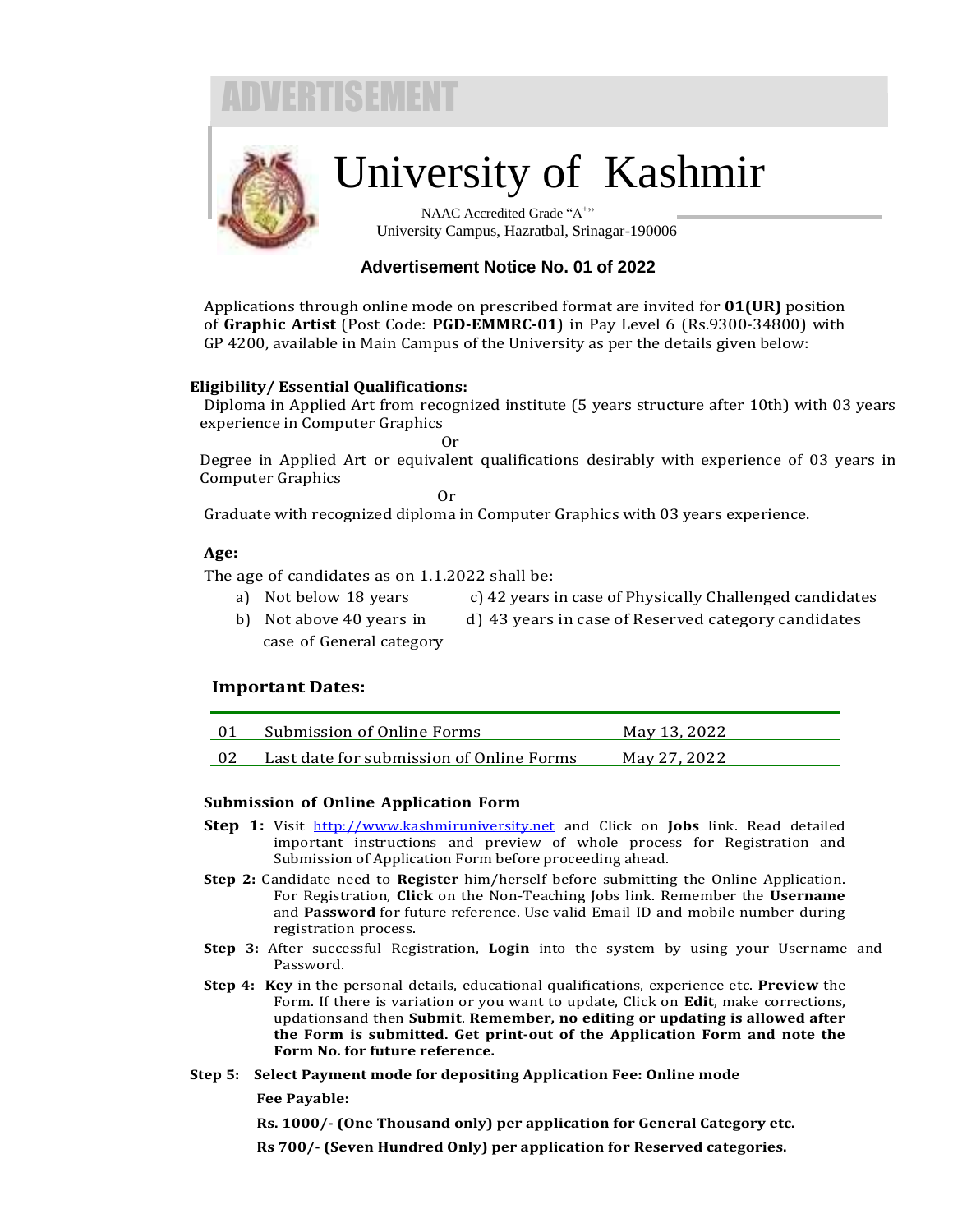

# University of Kashmir

NAAC Accredited Grade "A<sup>+</sup>" University Campus, Hazratbal, Srinagar-190006

## **Advertisement Notice No. 01 of 2022**

Applications through online mode on prescribed format are invited for **01(UR)** position of **Graphic Artist** (Post Code: **PGD-EMMRC-01**) in Pay Level 6 (Rs.9300-34800) with GP 4200, available in Main Campus of the University as per the details given below:

### **Eligibility/ Essential Qualifications:**

Diploma in Applied Art from recognized institute (5 years structure after 10th) with 03 years experience in Computer Graphics

Or

Degree in Applied Art or equivalent qualifications desirably with experience of 03 years in Computer Graphics

Or

Graduate with recognized diploma in Computer Graphics with 03 years experience.

### **Age:**

The age of candidates as on 1.1.2022 shall be:

- a) Not below 18 years c) 42 years in case of Physically Challenged candidates
- b) Not above 40 years in d) 43 years in case of Reserved category candidates case of General category

### **Important Dates:**

| - 01 | Submission of Online Forms               | May 13, 2022 |
|------|------------------------------------------|--------------|
| - 02 | Last date for submission of Online Forms | May 27, 2022 |

### **Submission of Online Application Form**

- **Step 1:** Visit [http://www.kashmiruniversity.net](http://kashmiruniversity.net/) and Click on **Jobs** link. Read detailed important instructions and preview of whole process for Registration and Submission of Application Form before proceeding ahead.
- **Step 2:** Candidate need to **Register** him/herself before submitting the Online Application. For Registration, **Click** on the Non-Teaching Jobs link. Remember the **Username**  and **Password** for future reference. Use valid Email ID and mobile number during registration process.
- **Step 3:** After successful Registration, **Login** into the system by using your Username and Password.
- **Step 4: Key** in the personal details, educational qualifications, experience etc. **Preview** the Form. If there is variation or you want to update, Click on **Edit**, make corrections, updationsand then **Submit**. **Remember, no editing or updating is allowed after the Form is submitted. Get print-out of the Application Form and note the Form No. for future reference.**

#### **Step 5: Select Payment mode for depositing Application Fee: Online mode**

 **Fee Payable:**

 **Rs. 1000/- (One Thousand only) per application for General Category etc.**

 **Rs 700/- (Seven Hundred Only) per application for Reserved categories.**